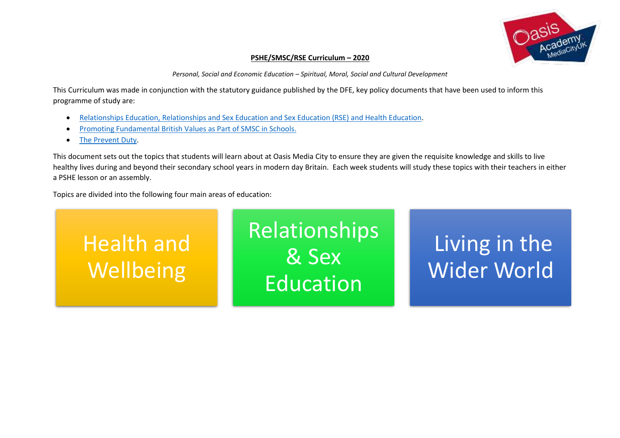

## **PSHE/SMSC/RSE Curriculum – 2020**

*Personal, Social and Economic Education – Spiritual, Moral, Social and Cultural Development*

This Curriculum was made in conjunction with the statutory guidance published by the DFE, key policy documents that have been used to inform this programme of study are:

- [Relationships Education, Relationships and Sex Education and Sex Education \(RSE\) and Health Education.](file:///C:/Users/PMcEvoy1/OneDrive%20-%20OasisZone/Work/OMC/PSHE%20Resources%202019/Relationships_Education__Relationships_and_Sex_Education__RSE__and_Health_Education.pdf)
- [Promoting Fundamental British Values as Part of SMSC in Schools.](file:///C:/Users/PMcEvoy1/OneDrive%20-%20OasisZone/Work/OMC/PSHE%20Resources%202019/British%20Values/SMSC_Guidance_Maintained_Schools.pdf)
- [The Prevent Duty.](file:///C:/Users/PMcEvoy1/OneDrive%20-%20OasisZone/Work/OMC/PSHE%20Resources%202019/Prevent/prevent-duty-departmental-advice-v6.pdf)

This document sets out the topics that students will learn about at Oasis Media City to ensure they are given the requisite knowledge and skills to live healthy lives during and beyond their secondary school years in modern day Britain. Each week students will study these topics with their teachers in either a PSHE lesson or an assembly.

Topics are divided into the following four main areas of education:

Health and **Wellbeing** Relationships & Sex Education Living in the Wider World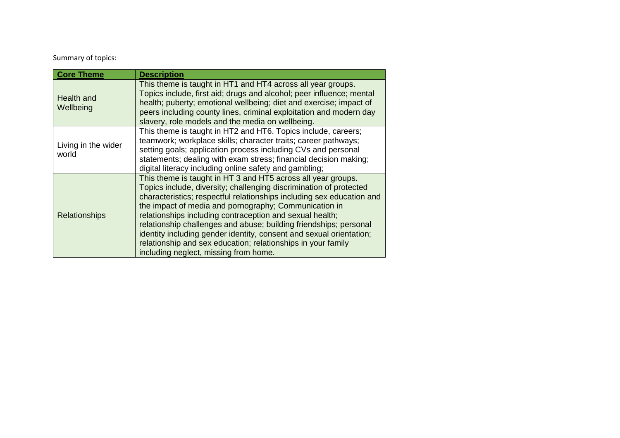## Summary of topics:

| <b>Core Theme</b>            | <b>Description</b>                                                                                                                                                                                                                                                                                                                                                                                                                                                                                                                                                                    |
|------------------------------|---------------------------------------------------------------------------------------------------------------------------------------------------------------------------------------------------------------------------------------------------------------------------------------------------------------------------------------------------------------------------------------------------------------------------------------------------------------------------------------------------------------------------------------------------------------------------------------|
| Health and<br>Wellbeing      | This theme is taught in HT1 and HT4 across all year groups.<br>Topics include, first aid; drugs and alcohol; peer influence; mental<br>health; puberty; emotional wellbeing; diet and exercise; impact of<br>peers including county lines, criminal exploitation and modern day<br>slavery, role models and the media on wellbeing.                                                                                                                                                                                                                                                   |
| Living in the wider<br>world | This theme is taught in HT2 and HT6. Topics include, careers;<br>teamwork; workplace skills; character traits; career pathways;<br>setting goals; application process including CVs and personal<br>statements; dealing with exam stress; financial decision making;<br>digital literacy including online safety and gambling;                                                                                                                                                                                                                                                        |
| <b>Relationships</b>         | This theme is taught in HT 3 and HT5 across all year groups.<br>Topics include, diversity; challenging discrimination of protected<br>characteristics; respectful relationships including sex education and<br>the impact of media and pornography; Communication in<br>relationships including contraception and sexual health;<br>relationship challenges and abuse; building friendships; personal<br>identity including gender identity, consent and sexual orientation;<br>relationship and sex education; relationships in your family<br>including neglect, missing from home. |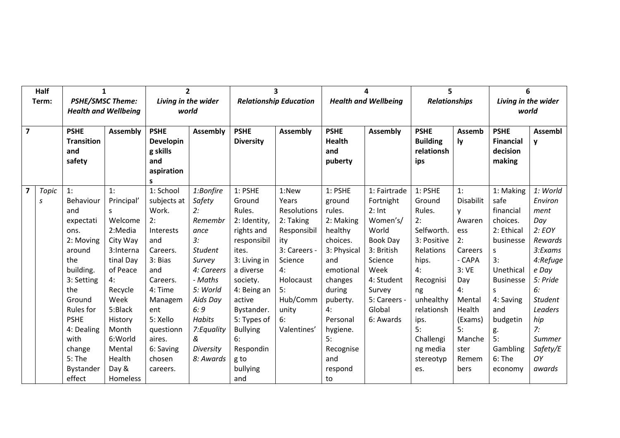|                | Half              | $\mathbf{1}$                                                                                                                                                                                         |                                                                                                                                                                                                 |                                                                                                                                                                                              | $\overline{2}$                                                                                                                                                                                        |                                                                                                                                                                                                                                | $\overline{\mathbf{3}}$                                                                                                                                        |                                                                                                                                                                                             | 4                                                                                                                                                                      | 5                                                                                                                                                                                            |                                                                                                                                                              | 6                                                                                                                                                                                            |                                                                                                                                                                                 |
|----------------|-------------------|------------------------------------------------------------------------------------------------------------------------------------------------------------------------------------------------------|-------------------------------------------------------------------------------------------------------------------------------------------------------------------------------------------------|----------------------------------------------------------------------------------------------------------------------------------------------------------------------------------------------|-------------------------------------------------------------------------------------------------------------------------------------------------------------------------------------------------------|--------------------------------------------------------------------------------------------------------------------------------------------------------------------------------------------------------------------------------|----------------------------------------------------------------------------------------------------------------------------------------------------------------|---------------------------------------------------------------------------------------------------------------------------------------------------------------------------------------------|------------------------------------------------------------------------------------------------------------------------------------------------------------------------|----------------------------------------------------------------------------------------------------------------------------------------------------------------------------------------------|--------------------------------------------------------------------------------------------------------------------------------------------------------------|----------------------------------------------------------------------------------------------------------------------------------------------------------------------------------------------|---------------------------------------------------------------------------------------------------------------------------------------------------------------------------------|
|                | Term:             | <b>PSHE/SMSC Theme:</b>                                                                                                                                                                              |                                                                                                                                                                                                 |                                                                                                                                                                                              | Living in the wider                                                                                                                                                                                   | <b>Relationship Education</b>                                                                                                                                                                                                  |                                                                                                                                                                |                                                                                                                                                                                             | <b>Health and Wellbeing</b>                                                                                                                                            | <b>Relationships</b>                                                                                                                                                                         |                                                                                                                                                              | Living in the wider                                                                                                                                                                          |                                                                                                                                                                                 |
|                |                   | <b>Health and Wellbeing</b>                                                                                                                                                                          |                                                                                                                                                                                                 | world                                                                                                                                                                                        |                                                                                                                                                                                                       |                                                                                                                                                                                                                                |                                                                                                                                                                |                                                                                                                                                                                             |                                                                                                                                                                        |                                                                                                                                                                                              |                                                                                                                                                              | world                                                                                                                                                                                        |                                                                                                                                                                                 |
| $\overline{7}$ |                   | <b>PSHE</b><br><b>Transition</b><br>and<br>safety                                                                                                                                                    | <b>Assembly</b>                                                                                                                                                                                 | <b>PSHE</b><br><b>Developin</b><br>g skills<br>and<br>aspiration<br>S                                                                                                                        | <b>Assembly</b>                                                                                                                                                                                       | <b>PSHE</b><br><b>Diversity</b>                                                                                                                                                                                                | <b>Assembly</b>                                                                                                                                                | <b>PSHE</b><br><b>Health</b><br>and<br>puberty                                                                                                                                              | <b>Assembly</b>                                                                                                                                                        | <b>PSHE</b><br><b>Building</b><br>relationsh<br>ips                                                                                                                                          | <b>Assemb</b><br>ly.                                                                                                                                         | <b>PSHE</b><br><b>Financial</b><br>decision<br>making                                                                                                                                        | <b>Assembl</b><br>y                                                                                                                                                             |
| $\overline{7}$ | <b>Topic</b><br>S | 1:<br>Behaviour<br>and<br>expectati<br>ons.<br>2: Moving<br>around<br>the<br>building.<br>3: Setting<br>the<br>Ground<br><b>Rules</b> for<br><b>PSHE</b><br>4: Dealing<br>with<br>change<br>$5:$ The | 1:<br>Principal'<br>$\mathsf{S}$<br>Welcome<br>2:Media<br>City Way<br>3:Interna<br>tinal Day<br>of Peace<br>4:<br>Recycle<br>Week<br>5:Black<br>History<br>Month<br>6:World<br>Mental<br>Health | 1: School<br>subjects at<br>Work.<br>2:<br>Interests<br>and<br>Careers.<br>3: Bias<br>and<br>Careers.<br>4: Time<br>Managem<br>ent<br>5: Xello<br>questionn<br>aires.<br>6: Saving<br>chosen | 1:Bonfire<br>Safety<br>2:<br>Remembr<br>ance<br>3:<br><b>Student</b><br>Survey<br>4: Careers<br>- Maths<br>5: World<br>Aids Day<br>6:9<br><b>Habits</b><br>7: Equality<br>&<br>Diversity<br>8: Awards | 1: PSHE<br>Ground<br>Rules.<br>2: Identity,<br>rights and<br>responsibil<br>ites.<br>3: Living in<br>a diverse<br>society.<br>4: Being an<br>active<br>Bystander.<br>5: Types of<br><b>Bullying</b><br>6:<br>Respondin<br>g to | 1:New<br>Years<br>Resolutions<br>2: Taking<br>Responsibil<br>ity<br>3: Careers -<br>Science<br>4:<br>Holocaust<br>5:<br>Hub/Comm<br>unity<br>6:<br>Valentines' | 1: PSHE<br>ground<br>rules.<br>2: Making<br>healthy<br>choices.<br>3: Physical<br>and<br>emotional<br>changes<br>during<br>puberty.<br>4:<br>Personal<br>hygiene.<br>5:<br>Recognise<br>and | 1: Fairtrade<br>Fortnight<br>$2:$ Int<br>Women's/<br>World<br>Book Day<br>3: British<br>Science<br>Week<br>4: Student<br>Survey<br>5: Careers -<br>Global<br>6: Awards | 1: PSHE<br>Ground<br>Rules.<br>2:<br>Selfworth.<br>3: Positive<br>Relations<br>hips.<br>4:<br>Recognisi<br>ng<br>unhealthy<br>relationsh<br>ips.<br>5:<br>Challengi<br>ng media<br>stereotyp | 1:<br><b>Disabilit</b><br>v<br>Awaren<br>ess<br>2:<br>Careers<br>- CAPA<br>3:VE<br>Day<br>4:<br>Mental<br>Health<br>(Exams)<br>5:<br>Manche<br>ster<br>Remem | 1: Making<br>safe<br>financial<br>choices.<br>2: Ethical<br>businesse<br>S.<br>3:<br>Unethical<br><b>Businesse</b><br>S.<br>4: Saving<br>and<br>budgetin<br>g.<br>5:<br>Gambling<br>$6:$ The | 1: World<br>Environ<br>ment<br>Day<br>2: EOY<br>Rewards<br>3:Exams<br>4:Refuge<br>e Day<br>5: Pride<br>6:<br><b>Student</b><br>Leaders<br>hip<br>7:<br>Summer<br>Safety/E<br>OY |
|                |                   | Bystander<br>effect                                                                                                                                                                                  | Day &<br>Homeless                                                                                                                                                                               | careers.                                                                                                                                                                                     |                                                                                                                                                                                                       | bullying<br>and                                                                                                                                                                                                                |                                                                                                                                                                | respond<br>to                                                                                                                                                                               |                                                                                                                                                                        | es.                                                                                                                                                                                          | bers                                                                                                                                                         | economy                                                                                                                                                                                      | awards                                                                                                                                                                          |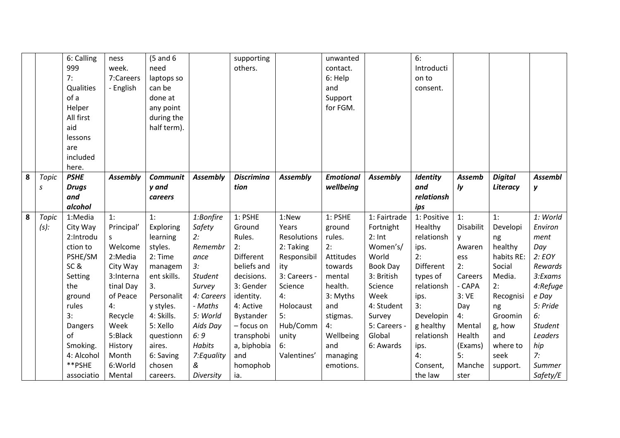|   |              | 6: Calling   | ness            | $(5$ and $6$    |                 | supporting        |                 | unwanted         |                 | 6:              |                  |                |                |
|---|--------------|--------------|-----------------|-----------------|-----------------|-------------------|-----------------|------------------|-----------------|-----------------|------------------|----------------|----------------|
|   |              | 999          | week.           | need            |                 | others.           |                 | contact.         |                 | Introducti      |                  |                |                |
|   |              | 7:           | 7:Careers       | laptops so      |                 |                   |                 | 6: Help          |                 | on to           |                  |                |                |
|   |              | Qualities    | - English       | can be          |                 |                   |                 | and              |                 | consent.        |                  |                |                |
|   |              | of a         |                 | done at         |                 |                   |                 | Support          |                 |                 |                  |                |                |
|   |              | Helper       |                 | any point       |                 |                   |                 | for FGM.         |                 |                 |                  |                |                |
|   |              | All first    |                 | during the      |                 |                   |                 |                  |                 |                 |                  |                |                |
|   |              | aid          |                 | half term).     |                 |                   |                 |                  |                 |                 |                  |                |                |
|   |              | lessons      |                 |                 |                 |                   |                 |                  |                 |                 |                  |                |                |
|   |              | are          |                 |                 |                 |                   |                 |                  |                 |                 |                  |                |                |
|   |              | included     |                 |                 |                 |                   |                 |                  |                 |                 |                  |                |                |
|   |              | here.        |                 |                 |                 |                   |                 |                  |                 |                 |                  |                |                |
| 8 | <b>Topic</b> | <b>PSHE</b>  | <b>Assembly</b> | <b>Communit</b> | <b>Assembly</b> | <b>Discrimina</b> | <b>Assembly</b> | <b>Emotional</b> | <b>Assembly</b> | <b>Identity</b> | <b>Assemb</b>    | <b>Digital</b> | <b>Assembl</b> |
|   | S            | <b>Drugs</b> |                 | y and           |                 | tion              |                 | wellbeing        |                 | and             | $I_{\mathbf{y}}$ | Literacy       | у              |
|   |              | and          |                 | careers         |                 |                   |                 |                  |                 | relationsh      |                  |                |                |
|   |              | alcohol      |                 |                 |                 |                   |                 |                  |                 | ips             |                  |                |                |
| 8 | <b>Topic</b> | 1:Media      | 1:              | 1:              | 1:Bonfire       | 1: PSHE           | 1:New           | 1: PSHE          | 1: Fairtrade    | 1: Positive     | 1:               | 1:             | 1: World       |
|   | $(s)$ :      | City Way     | Principal'      | Exploring       | Safety          | Ground            | Years           | ground           | Fortnight       | Healthy         | Disabilit        | Developi       | Environ        |
|   |              | 2:Introdu    | S               | learning        | 2:              | Rules.            | Resolutions     | rules.           | $2:$ Int        | relationsh      | y                | ng             | ment           |
|   |              | ction to     | Welcome         | styles.         | Remembr         | 2:                | 2: Taking       | 2:               | Women's/        | ips.            | Awaren           | healthy        | Day            |
|   |              | PSHE/SM      | 2:Media         | 2: Time         | ance            | <b>Different</b>  | Responsibil     | Attitudes        | World           | 2:              | ess              | habits RE:     | 2:EOY          |
|   |              | SC&          | City Way        | managem         | 3:              | beliefs and       | ity             | towards          | <b>Book Day</b> | Different       | 2:               | Social         | Rewards        |
|   |              | Setting      | 3:Interna       | ent skills.     | <b>Student</b>  | decisions.        | 3: Careers -    | mental           | 3: British      | types of        | Careers          | Media.         | 3:Exams        |
|   |              | the          | tinal Day       | 3.              | Survey          | 3: Gender         | Science         | health.          | Science         | relationsh      | - CAPA           | 2:             | 4:Refuge       |
|   |              | ground       | of Peace        | Personalit      | 4: Careers      | identity.         | 4:              | 3: Myths         | Week            | ips.            | 3:VE             | Recognisi      | e Day          |
|   |              | rules        | 4:              | y styles.       | - Maths         | 4: Active         | Holocaust       | and              | 4: Student      | 3:              | Day              | ng             | 5: Pride       |
|   |              | 3:           | Recycle         | 4: Skills.      | 5: World        | Bystander         | 5:              | stigmas.         | Survey          | Developin       | 4:               | Groomin        | 6:             |
|   |              | Dangers      | Week            | 5: Xello        | Aids Day        | - focus on        | Hub/Comm        | 4:               | 5: Careers -    | g healthy       | Mental           | g, how         | <b>Student</b> |
|   |              | of           | 5:Black         | questionn       | 6:9             | transphobi        | unity           | Wellbeing        | Global          | relationsh      | Health           | and            | Leaders        |
|   |              | Smoking.     | History         | aires.          | <b>Habits</b>   | a, biphobia       | 6:              | and              | 6: Awards       | ips.            | (Exams)          | where to       | hip            |
|   |              | 4: Alcohol   | Month           | 6: Saving       | 7:Equality      | and               | Valentines'     | managing         |                 | 4:              | 5:               | seek           | 7:             |
|   |              | **PSHE       | 6:World         | chosen          | &               | homophob          |                 | emotions.        |                 | Consent,        | Manche           | support.       | Summer         |
|   |              | associatio   | Mental          | careers.        | Diversity       | ia.               |                 |                  |                 | the law         | ster             |                | Safety/E       |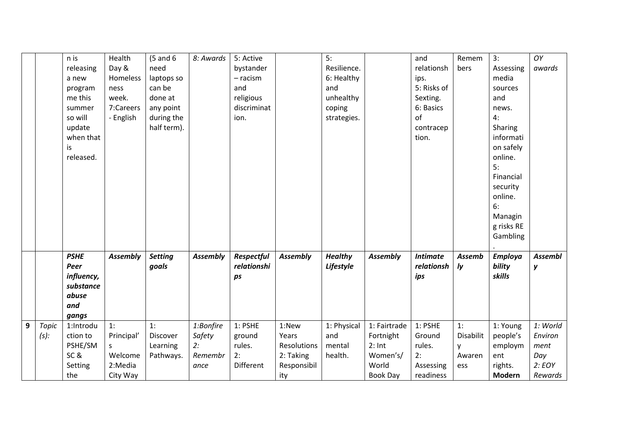|   |                         | n is<br>releasing<br>a new<br>program<br>me this<br>summer<br>so will<br>update<br>when that<br>is<br>released. | Health<br>Day &<br>Homeless<br>ness<br>week.<br>7:Careers<br>- English | $(5$ and $6$<br>need<br>laptops so<br>can be<br>done at<br>any point<br>during the<br>half term). | 8: Awards                                    | 5: Active<br>bystander<br>$-$ racism<br>and<br>religious<br>discriminat<br>ion. |                                                                  | 5:<br>Resilience.<br>6: Healthy<br>and<br>unhealthy<br>coping<br>strategies. |                                                                               | and<br>relationsh<br>ips.<br>5: Risks of<br>Sexting.<br>6: Basics<br>of<br>contracep<br>tion. | Remem<br>bers                                | 3:<br>Assessing<br>media<br>sources<br>and<br>news.<br>4:<br>Sharing<br>informati<br>on safely<br>online.<br>5:<br>Financial<br>security<br>online.<br>6:<br>Managin<br>g risks RE<br>Gambling | OY<br>awards                                            |
|---|-------------------------|-----------------------------------------------------------------------------------------------------------------|------------------------------------------------------------------------|---------------------------------------------------------------------------------------------------|----------------------------------------------|---------------------------------------------------------------------------------|------------------------------------------------------------------|------------------------------------------------------------------------------|-------------------------------------------------------------------------------|-----------------------------------------------------------------------------------------------|----------------------------------------------|------------------------------------------------------------------------------------------------------------------------------------------------------------------------------------------------|---------------------------------------------------------|
|   |                         | <b>PSHE</b><br>Peer<br>influency,<br>substance<br>abuse<br>and<br>gangs                                         | <b>Assembly</b>                                                        | <b>Setting</b><br>goals                                                                           | <b>Assembly</b>                              | Respectful<br>relationshi<br>ps                                                 | <b>Assembly</b>                                                  | <b>Healthy</b><br>Lifestyle                                                  | <b>Assembly</b>                                                               | <b>Intimate</b><br>relationsh<br>ips                                                          | <b>Assemb</b><br>Iy                          | <b>Employa</b><br>bility<br>skills                                                                                                                                                             | <b>Assembl</b><br>y                                     |
| 9 | <b>Topic</b><br>$(s)$ : | 1:Introdu<br>ction to<br>PSHE/SM<br>SC&<br>Setting<br>the                                                       | 1:<br>Principal'<br>S<br>Welcome<br>2:Media<br>City Way                | 1:<br>Discover<br>Learning<br>Pathways.                                                           | 1:Bonfire<br>Safety<br>2:<br>Remembr<br>ance | 1: PSHE<br>ground<br>rules.<br>2:<br>Different                                  | 1:New<br>Years<br>Resolutions<br>2: Taking<br>Responsibil<br>ity | 1: Physical<br>and<br>mental<br>health.                                      | 1: Fairtrade<br>Fortnight<br>$2:$ Int<br>Women's/<br>World<br><b>Book Day</b> | 1: PSHE<br>Ground<br>rules.<br>2:<br>Assessing<br>readiness                                   | 1:<br><b>Disabilit</b><br>y<br>Awaren<br>ess | 1: Young<br>people's<br>employm<br>ent<br>rights.<br><b>Modern</b>                                                                                                                             | 1: World<br>Environ<br>ment<br>Day<br>2: EOY<br>Rewards |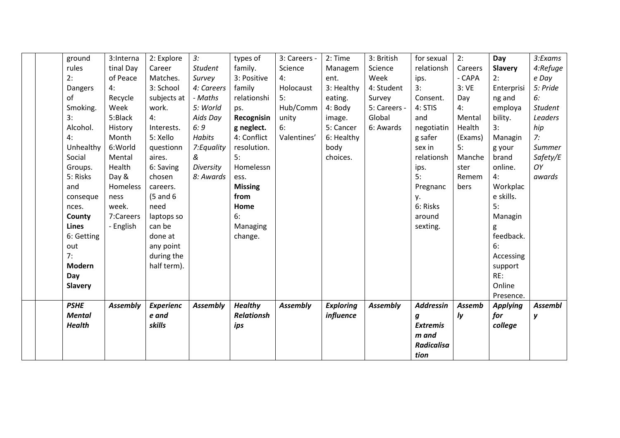|     | ground         | 3:Interna       | 2: Explore       | 3:              | types of          | 3: Careers -    | 2: Time          | 3: British      | for sexual        | 2:      | Day             | 3:Exams        |
|-----|----------------|-----------------|------------------|-----------------|-------------------|-----------------|------------------|-----------------|-------------------|---------|-----------------|----------------|
|     | rules          | tinal Day       | Career           | <b>Student</b>  | family.           | Science         | Managem          | Science         | relationsh        | Careers | <b>Slavery</b>  | 4:Refuge       |
| 2:  |                | of Peace        | Matches.         | Survey          | 3: Positive       | 4:              | ent.             | Week            | ips.              | - CAPA  | 2:              | e Day          |
|     | Dangers        | 4:              | 3: School        | 4: Careers      | family            | Holocaust       | 3: Healthy       | 4: Student      | 3:                | 3:VE    | Enterprisi      | 5: Pride       |
| of  |                | Recycle         | subjects at      | - Maths         | relationshi       | 5:              | eating.          | Survey          | Consent.          | Day     | ng and          | 6:             |
|     | Smoking.       | Week            | work.            | 5: World        | ps.               | Hub/Comm        | 4: Body          | 5: Careers -    | 4: STIS           | 4:      | employa         | <b>Student</b> |
| 3:  |                | 5:Black         | 4:               | Aids Day        | Recognisin        | unity           | image.           | Global          | and               | Mental  | bility.         | Leaders        |
|     | Alcohol.       | History         | Interests.       | 6:9             | g neglect.        | 6:              | 5: Cancer        | 6: Awards       | negotiatin        | Health  | 3:              | hip            |
| 4:  |                | Month           | 5: Xello         | <b>Habits</b>   | 4: Conflict       | Valentines'     | 6: Healthy       |                 | g safer           | (Exams) | Managin         | 7:             |
|     | Unhealthy      | 6:World         | questionn        | 7: Equality     | resolution.       |                 | body             |                 | sex in            | 5:      | g your          | Summer         |
|     | Social         | Mental          | aires.           | &               | 5:                |                 | choices.         |                 | relationsh        | Manche  | brand           | Safety/E       |
|     | Groups.        | Health          | 6: Saving        | Diversity       | Homelessn         |                 |                  |                 | ips.              | ster    | online.         | OY             |
|     | 5: Risks       | Day &           | chosen           | 8: Awards       | ess.              |                 |                  |                 | 5:                | Remem   | 4:              | awards         |
| and |                | Homeless        | careers.         |                 | <b>Missing</b>    |                 |                  |                 | Pregnanc          | bers    | Workplac        |                |
|     | conseque       | ness            | $(5$ and $6$     |                 | from              |                 |                  |                 | у.                |         | e skills.       |                |
|     | nces.          | week.           | need             |                 | Home              |                 |                  |                 | 6: Risks          |         | 5:              |                |
|     | County         | 7:Careers       | laptops so       |                 | 6:                |                 |                  |                 | around            |         | Managin         |                |
|     | Lines          | - English       | can be           |                 | Managing          |                 |                  |                 | sexting.          |         | g               |                |
|     | 6: Getting     |                 | done at          |                 | change.           |                 |                  |                 |                   |         | feedback.       |                |
| out |                |                 | any point        |                 |                   |                 |                  |                 |                   |         | 6:              |                |
| 7:  |                |                 | during the       |                 |                   |                 |                  |                 |                   |         | Accessing       |                |
|     | <b>Modern</b>  |                 | half term).      |                 |                   |                 |                  |                 |                   |         | support         |                |
| Day |                |                 |                  |                 |                   |                 |                  |                 |                   |         | RE:             |                |
|     | <b>Slavery</b> |                 |                  |                 |                   |                 |                  |                 |                   |         | Online          |                |
|     |                |                 |                  |                 |                   |                 |                  |                 |                   |         | Presence.       |                |
|     | <b>PSHE</b>    | <b>Assembly</b> | <b>Experienc</b> | <b>Assembly</b> | <b>Healthy</b>    | <b>Assembly</b> | <b>Exploring</b> | <b>Assembly</b> | <b>Addressin</b>  | Assemb  | <b>Applying</b> | <b>Assembl</b> |
|     | <b>Mental</b>  |                 | e and            |                 | <b>Relationsh</b> |                 | influence        |                 | $\boldsymbol{g}$  | ly      | for             | y              |
|     | <b>Health</b>  |                 | skills           |                 | ips               |                 |                  |                 | <b>Extremis</b>   |         | college         |                |
|     |                |                 |                  |                 |                   |                 |                  |                 | m and             |         |                 |                |
|     |                |                 |                  |                 |                   |                 |                  |                 | <b>Radicalisa</b> |         |                 |                |
|     |                |                 |                  |                 |                   |                 |                  |                 | tion              |         |                 |                |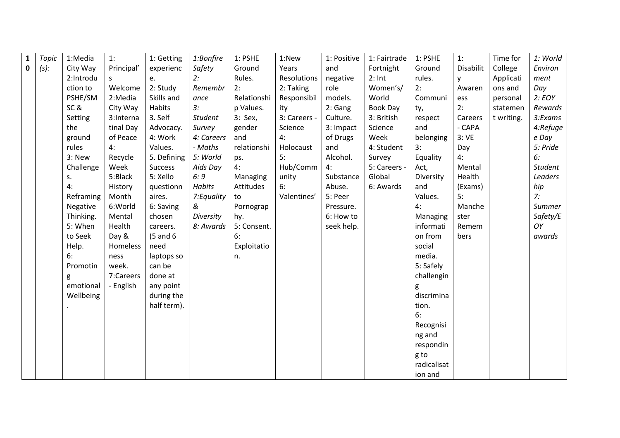| $\mathbf{1}$ | <b>Topic</b> | 1:Media   | 1:         | 1: Getting   | 1:Bonfire      | 1: PSHE     | 1:New        | 1: Positive | 1: Fairtrade | 1: PSHE     | 1:        | Time for   | 1: World |
|--------------|--------------|-----------|------------|--------------|----------------|-------------|--------------|-------------|--------------|-------------|-----------|------------|----------|
| $\mathbf 0$  | $(s)$ :      | City Way  | Principal' | experienc    | Safety         | Ground      | Years        | and         | Fortnight    | Ground      | Disabilit | College    | Environ  |
|              |              | 2:Introdu | S          | e.           | 2:             | Rules.      | Resolutions  | negative    | $2:$ Int     | rules.      | y         | Applicati  | ment     |
|              |              | ction to  | Welcome    | 2: Study     | Remembr        | 2:          | 2: Taking    | role        | Women's/     | 2:          | Awaren    | ons and    | Day      |
|              |              | PSHE/SM   | 2:Media    | Skills and   | ance           | Relationshi | Responsibil  | models.     | World        | Communi     | ess       | personal   | 2:EOY    |
|              |              | SC&       | City Way   | Habits       | 3:             | p Values.   | ity          | 2: Gang     | Book Day     | ty,         | 2:        | statemen   | Rewards  |
|              |              | Setting   | 3:Interna  | 3. Self      | <b>Student</b> | 3: Sex,     | 3: Careers - | Culture.    | 3: British   | respect     | Careers   | t writing. | 3:Exams  |
|              |              | the       | tinal Day  | Advocacy.    | Survey         | gender      | Science      | 3: Impact   | Science      | and         | - CAPA    |            | 4:Refuge |
|              |              | ground    | of Peace   | 4: Work      | 4: Careers     | and         | 4:           | of Drugs    | Week         | belonging   | 3:VE      |            | e Day    |
|              |              | rules     | 4:         | Values.      | - Maths        | relationshi | Holocaust    | and         | 4: Student   | 3:          | Day       |            | 5: Pride |
|              |              | 3: New    | Recycle    | 5. Defining  | 5: World       | ps.         | 5:           | Alcohol.    | Survey       | Equality    | 4:        |            | 6:       |
|              |              | Challenge | Week       | Success      | Aids Day       | 4:          | Hub/Comm     | 4:          | 5: Careers - | Act,        | Mental    |            | Student  |
|              |              | S.        | 5:Black    | 5: Xello     | 6:9            | Managing    | unity        | Substance   | Global       | Diversity   | Health    |            | Leaders  |
|              |              | 4:        | History    | questionn    | Habits         | Attitudes   | 6:           | Abuse.      | 6: Awards    | and         | (Exams)   |            | hip      |
|              |              | Reframing | Month      | aires.       | 7: Equality    | to          | Valentines'  | 5: Peer     |              | Values.     | 5:        |            | 7:       |
|              |              | Negative  | 6:World    | 6: Saving    | &              | Pornograp   |              | Pressure.   |              | 4:          | Manche    |            | Summer   |
|              |              | Thinking. | Mental     | chosen       | Diversity      | hy.         |              | 6: How to   |              | Managing    | ster      |            | Safety/E |
|              |              | 5: When   | Health     | careers.     | 8: Awards      | 5: Consent. |              | seek help.  |              | informati   | Remem     |            | OY       |
|              |              | to Seek   | Day &      | $(5$ and $6$ |                | 6:          |              |             |              | on from     | bers      |            | awards   |
|              |              | Help.     | Homeless   | need         |                | Exploitatio |              |             |              | social      |           |            |          |
|              |              | 6:        | ness       | laptops so   |                | n.          |              |             |              | media.      |           |            |          |
|              |              | Promotin  | week.      | can be       |                |             |              |             |              | 5: Safely   |           |            |          |
|              |              | g         | 7:Careers  | done at      |                |             |              |             |              | challengin  |           |            |          |
|              |              | emotional | - English  | any point    |                |             |              |             |              | g           |           |            |          |
|              |              | Wellbeing |            | during the   |                |             |              |             |              | discrimina  |           |            |          |
|              |              |           |            | half term).  |                |             |              |             |              | tion.       |           |            |          |
|              |              |           |            |              |                |             |              |             |              | 6:          |           |            |          |
|              |              |           |            |              |                |             |              |             |              | Recognisi   |           |            |          |
|              |              |           |            |              |                |             |              |             |              | ng and      |           |            |          |
|              |              |           |            |              |                |             |              |             |              | respondin   |           |            |          |
|              |              |           |            |              |                |             |              |             |              | g to        |           |            |          |
|              |              |           |            |              |                |             |              |             |              | radicalisat |           |            |          |
|              |              |           |            |              |                |             |              |             |              | ion and     |           |            |          |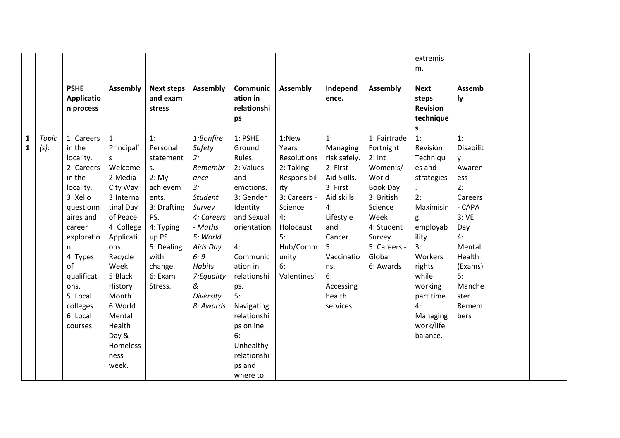|              |         |                   |                 |                   |                 |                 |                 |              |                 | extremis        |           |  |
|--------------|---------|-------------------|-----------------|-------------------|-----------------|-----------------|-----------------|--------------|-----------------|-----------------|-----------|--|
|              |         |                   |                 |                   |                 |                 |                 |              |                 | m.              |           |  |
|              |         |                   |                 |                   |                 |                 |                 |              |                 |                 |           |  |
|              |         | <b>PSHE</b>       | <b>Assembly</b> | <b>Next steps</b> | <b>Assembly</b> | <b>Communic</b> | <b>Assembly</b> | Independ     | <b>Assembly</b> | <b>Next</b>     | Assemb    |  |
|              |         | <b>Applicatio</b> |                 | and exam          |                 | ation in        |                 | ence.        |                 | steps           | ly        |  |
|              |         | n process         |                 | stress            |                 | relationshi     |                 |              |                 | <b>Revision</b> |           |  |
|              |         |                   |                 |                   |                 | ps              |                 |              |                 | technique       |           |  |
|              |         |                   |                 |                   |                 |                 |                 |              |                 | s.              |           |  |
| $\mathbf{1}$ | Topic   | 1: Careers        | 1:              | 1:                | 1:Bonfire       | 1: PSHE         | 1:New           | 1:           | 1: Fairtrade    | 1:              | 1:        |  |
| $\mathbf{1}$ | $(s)$ : | in the            | Principal'      | Personal          | Safety          | Ground          | Years           | Managing     | Fortnight       | Revision        | Disabilit |  |
|              |         | locality.         | S               | statement         | 2:              | Rules.          | Resolutions     | risk safely. | $2:$ Int        | Techniqu        | y         |  |
|              |         | 2: Careers        | Welcome         | $S_{+}$           | Remembr         | 2: Values       | 2: Taking       | 2: First     | Women's/        | es and          | Awaren    |  |
|              |         | in the            | 2:Media         | 2: My             | ance            | and             | Responsibil     | Aid Skills.  | World           | strategies      | ess       |  |
|              |         | locality.         | City Way        | achievem          | 3:              | emotions.       | ity             | 3: First     | Book Day        |                 | 2:        |  |
|              |         | 3: Xello          | 3:Interna       | ents.             | <b>Student</b>  | 3: Gender       | 3: Careers -    | Aid skills.  | 3: British      | 2:              | Careers   |  |
|              |         | questionn         | tinal Day       | 3: Drafting       | Survey          | Identity        | Science         | 4:           | Science         | Maximisin       | - CAPA    |  |
|              |         | aires and         | of Peace        | PS.               | 4: Careers      | and Sexual      | 4:              | Lifestyle    | Week            | g               | 3:VE      |  |
|              |         | career            | 4: College      | 4: Typing         | - Maths         | orientation     | Holocaust       | and          | 4: Student      | employab        | Day       |  |
|              |         | exploratio        | Applicati       | up PS.            | 5: World        |                 | 5:              | Cancer.      | Survey          | ility.          | 4:        |  |
|              |         | n.                | ons.            | 5: Dealing        | Aids Day        | 4:              | Hub/Comm        | 5:           | 5: Careers -    | 3:              | Mental    |  |
|              |         | 4: Types          | Recycle         | with              | 6:9             | Communic        | unity           | Vaccinatio   | Global          | Workers         | Health    |  |
|              |         | of                | Week            | change.           | <b>Habits</b>   | ation in        | 6:              | ns.          | 6: Awards       | rights          | (Exams)   |  |
|              |         | qualificati       | 5:Black         | 6: Exam           | 7: Equality     | relationshi     | Valentines'     | 6:           |                 | while           | 5:        |  |
|              |         | ons.              | History         | Stress.           | &               | ps.             |                 | Accessing    |                 | working         | Manche    |  |
|              |         | 5: Local          | Month           |                   | Diversity       | 5:              |                 | health       |                 | part time.      | ster      |  |
|              |         | colleges.         | 6:World         |                   | 8: Awards       | Navigating      |                 | services.    |                 | 4:              | Remem     |  |
|              |         | 6: Local          | Mental          |                   |                 | relationshi     |                 |              |                 | Managing        | bers      |  |
|              |         | courses.          | Health          |                   |                 | ps online.      |                 |              |                 | work/life       |           |  |
|              |         |                   | Day &           |                   |                 | 6:              |                 |              |                 | balance.        |           |  |
|              |         |                   | Homeless        |                   |                 | Unhealthy       |                 |              |                 |                 |           |  |
|              |         |                   | ness            |                   |                 | relationshi     |                 |              |                 |                 |           |  |
|              |         |                   | week.           |                   |                 | ps and          |                 |              |                 |                 |           |  |
|              |         |                   |                 |                   |                 | where to        |                 |              |                 |                 |           |  |